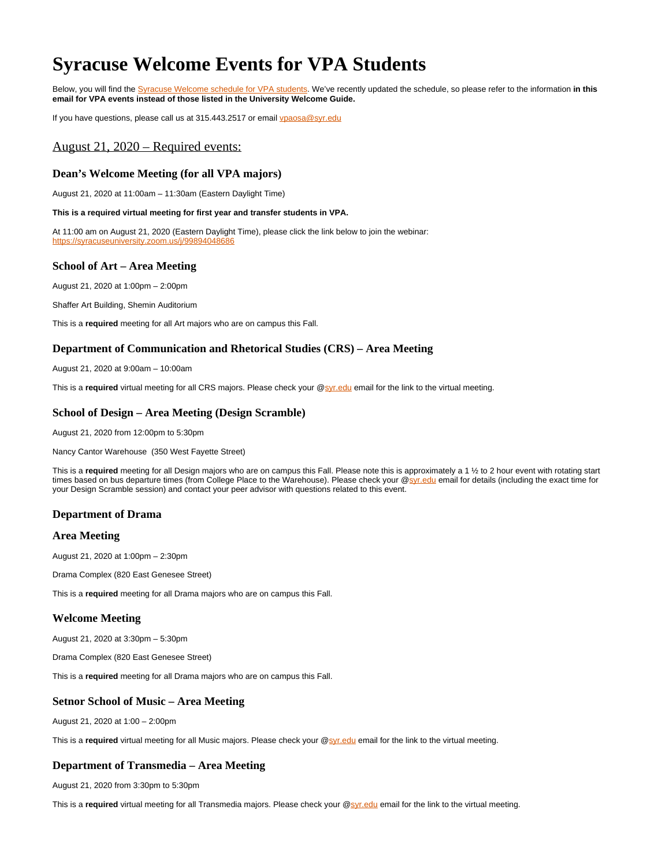# <span id="page-0-0"></span>**Syracuse Welcome Events for VPA Students**

Below, you will find the [Syracuse Welcome schedule for VPA students](#page-0-0). We've recently updated the schedule, so please refer to the information **in this email for VPA events instead of those listed in the University Welcome Guide.**

If you have questions, please call us at 315.443.2517 or email [vpaosa@syr.edu](mailto:vpaosa@syr.edu)

# August 21, 2020 – Required events:

#### **Dean's Welcome Meeting (for all VPA majors)**

August 21, 2020 at 11:00am – 11:30am (Eastern Daylight Time)

#### **This is a required virtual meeting for first year and transfer students in VPA.**

At 11:00 am on August 21, 2020 (Eastern Daylight Time), please click the link below to join the webinar: <https://syracuseuniversity.zoom.us/j/99894048686>

#### **School of Art – Area Meeting**

August 21, 2020 at 1:00pm – 2:00pm

Shaffer Art Building, Shemin Auditorium

This is a **required** meeting for all Art majors who are on campus this Fall.

#### **Department of Communication and Rhetorical Studies (CRS) – Area Meeting**

August 21, 2020 at 9:00am – 10:00am

This is a **required** virtual meeting for all CRS majors. Please check your @[syr.edu](http://syr.edu) email for the link to the virtual meeting.

#### **School of Design – Area Meeting (Design Scramble)**

August 21, 2020 from 12:00pm to 5:30pm

Nancy Cantor Warehouse (350 West Fayette Street)

This is a required meeting for all Design majors who are on campus this Fall. Please note this is approximately a 1 % to 2 hour event with rotating start times based on bus departure times (from College Place to the Warehouse). Please check your [@syr.edu](http://syr.edu) email for details (including the exact time for your Design Scramble session) and contact your peer advisor with questions related to this event.

#### **Department of Drama**

#### **Area Meeting**

August 21, 2020 at 1:00pm – 2:30pm

Drama Complex (820 East Genesee Street)

This is a **required** meeting for all Drama majors who are on campus this Fall.

## **Welcome Meeting**

August 21, 2020 at 3:30pm – 5:30pm

Drama Complex (820 East Genesee Street)

This is a **required** meeting for all Drama majors who are on campus this Fall.

## **Setnor School of Music – Area Meeting**

August 21, 2020 at 1:00 – 2:00pm

This is a required virtual meeting for all Music majors. Please check your @[syr.edu](http://syr.edu) email for the link to the virtual meeting.

#### **Department of Transmedia – Area Meeting**

August 21, 2020 from 3:30pm to 5:30pm

This is a **required** virtual meeting for all Transmedia majors. Please check your @[syr.edu](http://syr.edu) email for the link to the virtual meeting.